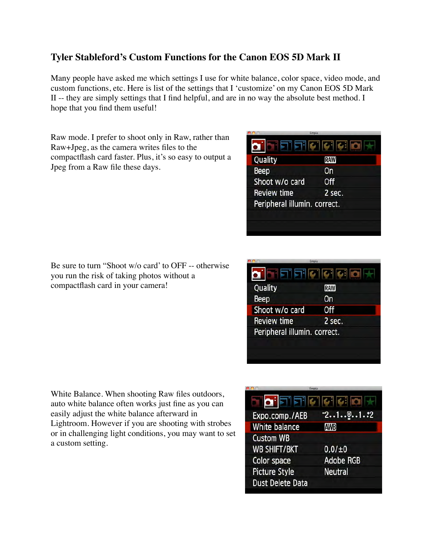## **Tyler Stableford's Custom Functions for the Canon EOS 5D Mark II**

Many people have asked me which settings I use for white balance, color space, video mode, and custom functions, etc. Here is list of the settings that I 'customize' on my Canon EOS 5D Mark II -- they are simply settings that I find helpful, and are in no way the absolute best method. I hope that you find them useful!

Raw mode. I prefer to shoot only in Raw, rather than Raw+Jpeg, as the camera writes files to the compactflash card faster. Plus, it's so easy to output a Jpeg from a Raw file these days.

|                              | Empia          |
|------------------------------|----------------|
|                              | ETERICICIE IOI |
| Quality                      | <b>RAW</b>     |
| Beep                         | On             |
| Shoot w/o card               | <b>Off</b>     |
| <b>Review time</b>           | 2 sec.         |
| Peripheral illumin. correct. |                |
|                              |                |
|                              |                |
|                              |                |

Be sure to turn "Shoot w/o card' to OFF -- otherwise you run the risk of taking photos without a compactflash card in your camera!

|                              | Empia       |
|------------------------------|-------------|
|                              | FIFICICIO H |
| Quality                      | <b>RAW</b>  |
| Beep                         | <b>On</b>   |
| Shoot w/o card               | 0ff         |
| <b>Review time</b>           | 2 sec.      |
| Peripheral illumin. correct. |             |
|                              |             |
|                              |             |

White Balance. When shooting Raw files outdoors, auto white balance often works just fine as you can easily adjust the white balance afterward in Lightroom. However if you are shooting with strobes or in challenging light conditions, you may want to set a custom setting.

|                           | Empia            |
|---------------------------|------------------|
| $\mathbf{O}$ $\mathbf{E}$ | 11               |
| Expo.comp./AEB            | $-2.1.00.1.12$   |
| White balance             | <b>AWB</b>       |
| <b>Custom WB</b>          |                  |
| <b>WB SHIFT/BKT</b>       | 0.0 / ±0         |
| Color space               | <b>Adobe RGB</b> |
| <b>Picture Style</b>      | <b>Neutral</b>   |
| <b>Dust Delete Data</b>   |                  |
|                           |                  |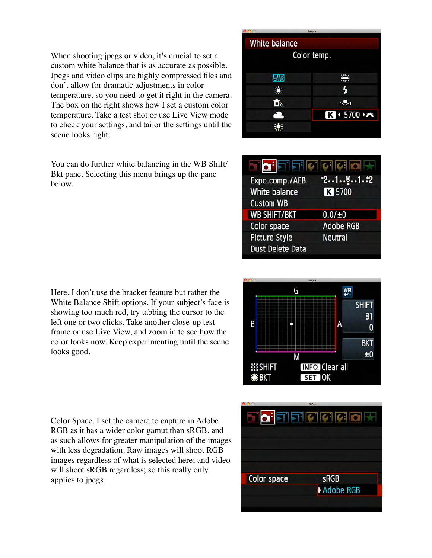When shooting jpegs or video, it's crucial to set a custom white balance that is as accurate as possible. Jpegs and video clips are highly compressed files and don't allow for dramatic adjustments in color temperature, so you need to get it right in the camera. The box on the right shows how I set a custom color temperature. Take a test shot or use Live View mode to check your settings, and tailor the settings until the scene looks right.

You can do further white balancing in the WB Shift/ Bkt pane. Selecting this menu brings up the pane below.

|               | Empia       |
|---------------|-------------|
| White balance |             |
|               | Color temp. |
|               |             |
| <b>AWB</b>    | 禜           |
| 濼             | 4           |
| ÔN            | ⊾∠⊿         |
| $\rightarrow$ | K + 5700    |
|               |             |
|               |             |

| O FIFIN                 | Alchol           |
|-------------------------|------------------|
| Expo.comp./AEB          | 7.1.9.1.2        |
| <b>White balance</b>    | K 5700           |
| <b>Custom WB</b>        |                  |
| <b>WB SHIFT/BKT</b>     | $0.01 + 0$       |
| Color space             | <b>Adobe RGB</b> |
| <b>Picture Style</b>    | <b>Neutral</b>   |
| <b>Dust Delete Data</b> |                  |
|                         |                  |

Here, I don't use the bracket feature but rather the White Balance Shift options. If your subject's face is showing too much red, try tabbing the cursor to the left one or two clicks. Take another close-up test frame or use Live View, and zoom in to see how the color looks now. Keep experimenting until the scene looks good.



Color Space. I set the camera to capture in Adobe RGB as it has a wider color gamut than sRGB, and as such allows for greater manipulation of the images with less degradation. Raw images will shoot RGB images regardless of what is selected here; and video will shoot sRGB regardless; so this really only applies to jpegs.

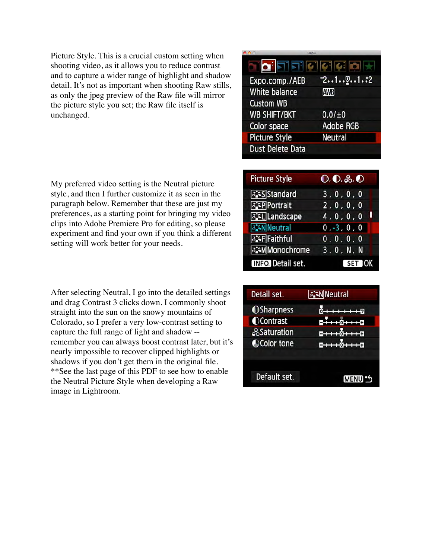Picture Style. This is a crucial custom setting when shooting video, as it allows you to reduce contrast and to capture a wider range of highlight and shadow detail. It's not as important when shooting Raw stills, as only the jpeg preview of the Raw file will mirror the picture style you set; the Raw file itself is unchanged.

| <b>BILLING</b>          |                  |
|-------------------------|------------------|
| io Fificiciol           |                  |
| Expo.comp./AEB          | $-21$ [1.:2      |
| <b>White balance</b>    | <b>AWB</b>       |
| <b>Custom WB</b>        |                  |
| <b>WB SHIFT/BKT</b>     | $0.01 + 0$       |
| Color space             | <b>Adobe RGB</b> |
| <b>Picture Style</b>    | <b>Neutral</b>   |
| <b>Dust Delete Data</b> |                  |
|                         |                  |

My preferred video setting is the Neutral picture style, and then I further customize it as seen in the paragraph below. Remember that these are just my preferences, as a starting point for bringing my video clips into Adobe Premiere Pro for editing, so please experiment and find your own if you think a different setting will work better for your needs.

After selecting Neutral, I go into the detailed settings and drag Contrast 3 clicks down. I commonly shoot straight into the sun on the snowy mountains of Colorado, so I prefer a very low-contrast setting to capture the full range of light and shadow - remember you can always boost contrast later, but it's nearly impossible to recover clipped highlights or shadows if you don't get them in the original file. \*\*See the last page of this PDF to see how to enable the Neutral Picture Style when developing a Raw image in Lightroom.

| <b>Picture Style</b>    | $\mathbf{0}$ , $\mathbf{0}$ , $\partial$ , $\mathbf{0}$ |
|-------------------------|---------------------------------------------------------|
| <b>ESS</b> Standard     | 3, 0, 0, 0                                              |
| <b>atP</b> Portrait     | 2, 0, 0, 0                                              |
| <b>akill</b> Landscape  | 4, 0, 0, 0                                              |
| <b>BENNeutral</b>       | $0, -3, 0, 0$                                           |
| <b>ESF</b> Faithful     | 0, 0, 0, 0                                              |
| <b>E:MMonochrome</b>    | 3, 0, N, N                                              |
| <b>INFO</b> Detail set. | $SET$ OK                                                |

| Detail set.       | <b>ENNeutral</b> |
|-------------------|------------------|
| <b>OSharpness</b> |                  |
| <b>OContrast</b>  |                  |
| <b>Saturation</b> |                  |
| Color tone        |                  |
|                   |                  |
|                   |                  |
| Default set.      | <b>MENU</b>      |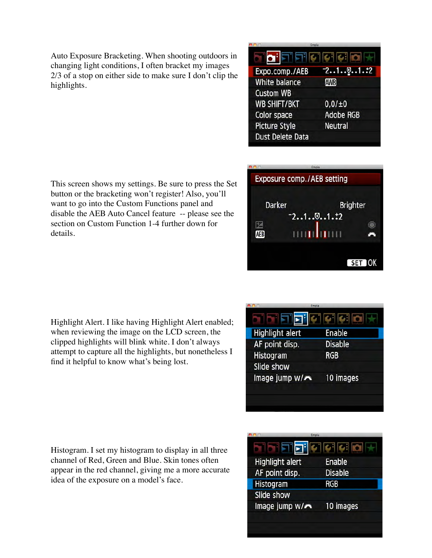Auto Exposure Bracketing. When shooting outdoors in changing light conditions, I often bracket my images 2/3 of a stop on either side to make sure I don't clip the highlights.

| Empia                   |                  |
|-------------------------|------------------|
|                         | 5151010101014    |
| Expo.comp./AEB          | $-2.1.00.1.12$   |
| White balance           | <b>AWB</b>       |
| <b>Custom WB</b>        |                  |
| <b>WB SHIFT/BKT</b>     | 0.0 / ±0         |
| Color space             | <b>Adobe RGB</b> |
| <b>Picture Style</b>    | <b>Neutral</b>   |
| <b>Dust Delete Data</b> |                  |
|                         |                  |

This screen shows my settings. Be sure to press the Set button or the bracketing won't register! Also, you'll want to go into the Custom Functions panel and disable the AEB Auto Cancel feature -- please see the section on Custom Function 1-4 further down for details.

|               | Emon<br>Exposure comp./AEB setting |                 |
|---------------|------------------------------------|-----------------|
| <b>Darker</b> |                                    | <b>Brighter</b> |
|               | $-2.1.0.1.12$                      |                 |
| AEB           | П<br>Ш                             |                 |
|               |                                    | SET OK          |

Highlight Alert. I like having Highlight Alert enabled; when reviewing the image on the LCD screen, the clipped highlights will blink white. I don't always attempt to capture all the highlights, but nonetheless I find it helpful to know what's being lost.

| a Fie<br><b>Highlight alert</b> | $ {\bm{c}} $ $ {\bm{c}} $ $ {\bm{c}} $<br><b>Enable</b> |
|---------------------------------|---------------------------------------------------------|
| AF point disp.                  | <b>Disable</b>                                          |
| Histogram                       | <b>RGB</b>                                              |
| Slide show                      |                                                         |
| Image jump w/x                  | 10 images                                               |
|                                 |                                                         |

Histogram. I set my histogram to display in all three channel of Red, Green and Blue. Skin tones often appear in the red channel, giving me a more accurate idea of the exposure on a model's face.

|                        | Empia          |
|------------------------|----------------|
| ala Fe                 | G  G  G        |
| <b>Highlight alert</b> | <b>Enable</b>  |
| AF point disp.         | <b>Disable</b> |
| Histogram              | RGB            |
| Slide show             |                |
| Image jump w/**        | 10 images      |
|                        |                |
|                        |                |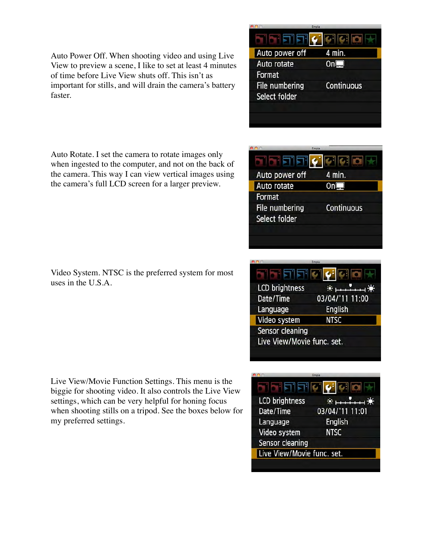Auto Power Off. When shooting video and using Live View to preview a scene, I like to set at least 4 minutes of time before Live View shuts off. This isn't as important for stills, and will drain the camera's battery faster.

|                | <b>CHISPES</b> |
|----------------|----------------|
| ils i s        |                |
| Auto power off | 4 min.         |
| Auto rotate    | On⊑            |
| Format         |                |
| File numbering | Continuous     |
| Select folder  |                |
|                |                |
|                |                |

Auto Rotate. I set the camera to rotate images only when ingested to the computer, and not on the back of the camera. This way I can view vertical images using the camera's full LCD screen for a larger preview.

| Video System. NTSC is the preferred system for most |  |
|-----------------------------------------------------|--|
| uses in the $U.S.A.$                                |  |

Live View/Movie Function Settings. This menu is the biggie for shooting video. It also controls the Live View settings, which can be very helpful for honing focus when shooting stills on a tripod. See the boxes below for my preferred settings.

|                | Empia             |
|----------------|-------------------|
| 5T E           |                   |
| Auto power off | 4 min.            |
| Auto rotate    |                   |
| Format         |                   |
| File numbering | <b>Continuous</b> |
| Select folder  |                   |
|                |                   |
|                |                   |

| <u> 156151</u>             | $\mathbf{c}$ il |
|----------------------------|-----------------|
| <b>LCD brightness</b>      | 寒山<br>$+ +$     |
| Date/Time                  | 03/04/'11 11:00 |
| Language                   | <b>English</b>  |
| Video system               | <b>NTSC</b>     |
| Sensor cleaning            |                 |
| Live View/Movie func. set. |                 |
|                            |                 |

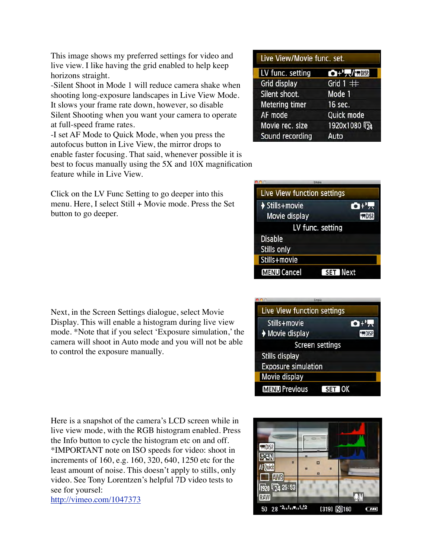This image shows my preferred settings for video and live view. I like having the grid enabled to help keep horizons straight.

-Silent Shoot in Mode 1 will reduce camera shake when shooting long-exposure landscapes in Live View Mode. It slows your frame rate down, however, so disable Silent Shooting when you want your camera to operate at full-speed frame rates.

-I set AF Mode to Quick Mode, when you press the autofocus button in Live View, the mirror drops to enable faster focusing. That said, whenever possible it is best to focus manually using the 5X and 10X magnification feature while in Live View.

Click on the LV Func Setting to go deeper into this menu. Here, I select Still + Movie mode. Press the Set button to go deeper.

Next, in the Screen Settings dialogue, select Movie Display. This will enable a histogram during live view mode. \*Note that if you select 'Exposure simulation,' the camera will shoot in Auto mode and you will not be able to control the exposure manually.

Here is a snapshot of the camera's LCD screen while in live view mode, with the RGB histogram enabled. Press the Info button to cycle the histogram etc on and off. \*IMPORTANT note on ISO speeds for video: shoot in increments of 160, e.g. 160, 320, 640, 1250 etc for the least amount of noise. This doesn't apply to stills, only video. See Tony Lorentzen's helpful 7D video tests to see for yoursel: <http://vimeo.com/1047373>

| Live View/Movie func. set. |                           |  |  |
|----------------------------|---------------------------|--|--|
| LV func. setting           | <b>OTHER PROISE</b>       |  |  |
| Grid display               | Grid $1 \#$               |  |  |
| Silent shoot.              | Mode 1                    |  |  |
| <b>Metering timer</b>      | 16 sec.                   |  |  |
| AF mode                    | Quick mode                |  |  |
| Movie rec. size            | 1920x1080 <sup>(</sup> 74 |  |  |
| Sound recording            | Auto                      |  |  |

| Live View function settings           |                   |
|---------------------------------------|-------------------|
| Stills+movie                          | $\mathbf{O}^{11}$ |
| Movie display                         | <b>PURPER</b>     |
| LV func. setting                      |                   |
| <b>Disable</b>                        |                   |
| Stills only                           |                   |
| Stills+movie                          |                   |
| <b>MENU</b> Cancel<br><b>SET Next</b> |                   |

|                             | Empia                  |                   |
|-----------------------------|------------------------|-------------------|
| Live View function settings |                        |                   |
| Stills+movie                |                        | $\mathbf{O}^{+1}$ |
| ♦ Movie display             |                        | <b>PRIDISP.</b>   |
|                             | <b>Screen settings</b> |                   |
| <b>Stills display</b>       |                        |                   |
| <b>Exposure simulation</b>  |                        |                   |
| Movie display               |                        |                   |
| <b>MENU Previous</b>        |                        | SET OK            |
|                             |                        |                   |

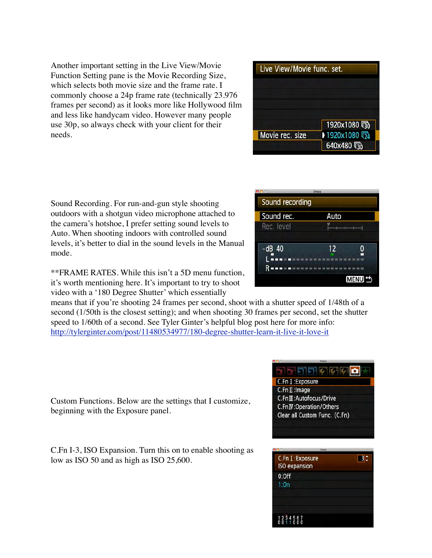Another important setting in the Live View/Movie Function Setting pane is the Movie Recording Size, which selects both movie size and the frame rate. I commonly choose a 24p frame rate (technically 23.976 frames per second) as it looks more like Hollywood film and less like handycam video. However many people use 30p, so always check with your client for their needs.

Sound Recording. For run-and-gun style shooting outdoors with a shotgun video microphone attached to the camera's hotshoe, I prefer setting sound levels to Auto. When shooting indoors with controlled sound levels, it's better to dial in the sound levels in the Manual mode.

\*\*FRAME RATES. While this isn't a 5D menu function, it's worth mentioning here. It's important to try to shoot video with a '180 Degree Shutter' which essentially

means that if you're shooting 24 frames per second, shoot with a shutter speed of 1/48th of a second (1/50th is the closest setting); and when shooting 30 frames per second, set the shutter speed to 1/60th of a second. See Tyler Ginter's helpful blog post here for more info: <http://tylerginter.com/post/11480534977/180-degree-shutter-learn-it-live-it-love-it>

Custom Functions. Below are the settings that I customize, beginning with the Exposure panel.

C.Fn I-3, ISO Expansion. Turn this on to enable shooting as low as ISO 50 and as high as ISO 25,600.

| Live View/Movie func. set. |                             |
|----------------------------|-----------------------------|
|                            |                             |
|                            | 1920x1080 5                 |
| Movie rec. size            | → 1920x1080 54<br>640x480 5 |

|                 | Empia |             |
|-----------------|-------|-------------|
| Sound recording |       |             |
| Sound rec.      | Auto  |             |
| Rec. level      |       |             |
|                 |       |             |
| $-dB$ 40        | 12    |             |
|                 |       |             |
|                 |       |             |
|                 |       | <b>MENU</b> |

| ini di di                     |
|-------------------------------|
| C.Fn I: Exposure              |
| C.Fn II: Image                |
| C.Fn III: Autofocus/Drive     |
| C.Fn IV: Operation/Others     |
| Clear all Custom Func. (C.Fn) |
|                               |

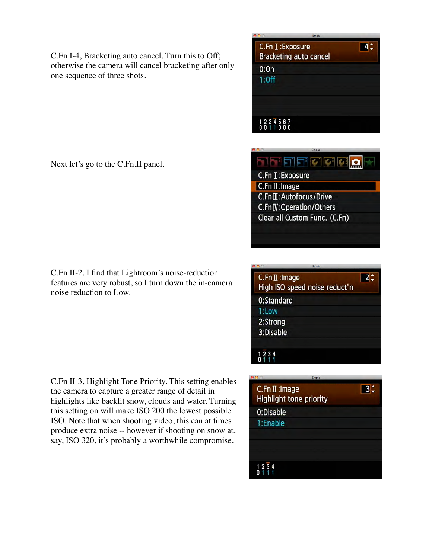C.Fn I-4, Bracketing auto cancel. Turn this to Off; otherwise the camera will cancel bracketing after only one sequence of three shots.

| Empia                                             |    |  |
|---------------------------------------------------|----|--|
| C.Fn I: Exposure<br><b>Bracketing auto cancel</b> | 4≛ |  |
| 0:0n                                              |    |  |
| $1:$ Off                                          |    |  |
|                                                   |    |  |
|                                                   |    |  |
|                                                   |    |  |
| 1234567<br>0011000                                |    |  |
|                                                   |    |  |

de de la

C.Fn I : Exposure  $C.Fn II: Image$ 

C.Fn III: Autofocus/Drive C.Fn IV: Operation/Others Clear all Custom Func. (C.Fn)

Next let's go to the C.Fn.II panel.

C.Fn II-2. I find that Lightroom's noise-reduction features are very robust, so I turn down the in-camera noise reduction to Low.

C.Fn II-3, Highlight Tone Priority. This setting enables the camera to capture a greater range of detail in highlights like backlit snow, clouds and water. Turning this setting on will make ISO 200 the lowest possible ISO. Note that when shooting video, this can at times produce extra noise -- however if shooting on snow at, say, ISO 320, it's probably a worthwhile compromise.

| Empia                                           |  |
|-------------------------------------------------|--|
| C.Fn II: Image<br>High ISO speed noise reduct'n |  |
| 0:Standard                                      |  |
| 1:Low                                           |  |
| 2:Strong                                        |  |
| 3:Disable                                       |  |
|                                                 |  |
|                                                 |  |

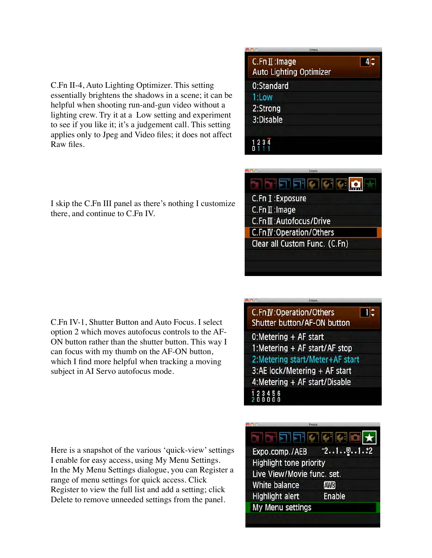C.Fn II-4, Auto Lighting Optimizer. This setting essentially brightens the shadows in a scene; it can be helpful when shooting run-and-gun video without a lighting crew. Try it at a Low setting and experiment to see if you like it; it's a judgement call. This setting applies only to Jpeg and Video files; it does not affect Raw files.

| Empia |                                                  |    |
|-------|--------------------------------------------------|----|
|       | C.Fn II: Image<br><b>Auto Lighting Optimizer</b> | 4≛ |
|       | 0:Standard                                       |    |
|       | 1:Low                                            |    |
|       | 2:Strong                                         |    |
|       | 3:Disable                                        |    |
|       |                                                  |    |
|       | 1234                                             |    |

de de la C.Fn I: Exposure C.Fn II: Image C.FnII: Autofocus/Drive C.Fn IV:Operation/Others Clear all Custom Func. (C.Fn)

I skip the C.Fn III panel as there's nothing I customize there, and continue to C.Fn IV.

C.Fn IV-1, Shutter Button and Auto Focus. I select option 2 which moves autofocus controls to the AF-ON button rather than the shutter button. This way I can focus with my thumb on the AF-ON button, which I find more helpful when tracking a moving subject in AI Servo autofocus mode.

Here is a snapshot of the various 'quick-view' settings I enable for easy access, using My Menu Settings. In the My Menu Settings dialogue, you can Register a range of menu settings for quick access. Click Register to view the full list and add a setting; click Delete to remove unneeded settings from the panel.

## C.Fn IV: Operation/Others  $\blacksquare$ Shutter button/AF-ON button 0:Metering + AF start 1:Metering + AF start/AF stop 2: Metering start/Meter+AF start 3:AE lock/Metering + AF start 4:Metering + AF start/Disable

| Expo.comp./AEB             | $-2.1.00.1.72$ |  |
|----------------------------|----------------|--|
| Highlight tone priority    |                |  |
| Live View/Movie func. set. |                |  |
| White balance              | <b>AWB</b>     |  |
| <b>Highlight alert</b>     | Enable         |  |
| My Menu settings           |                |  |
|                            |                |  |